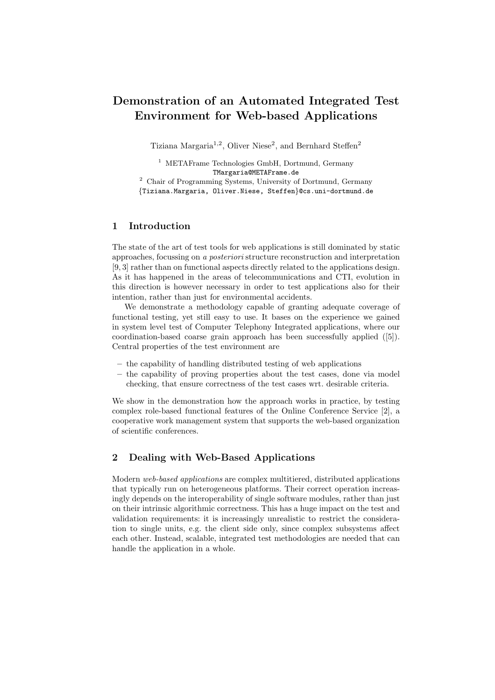# **Demonstration of an Automated Integrated Test Environment for Web-based Applications**

Tiziana Margaria<sup>1,2</sup>, Oliver Niese<sup>2</sup>, and Bernhard Steffen<sup>2</sup>

<sup>1</sup> METAFrame Technologies GmbH, Dortmund, Germany TMargaria@METAFrame.de

<sup>2</sup> Chair of Programming Systems, University of Dortmund, Germany {Tiziana.Margaria, Oliver.Niese, Steffen}@cs.uni-dortmund.de

#### **1 Introduction**

The state of the art of test tools for web applications is still dominated by static approaches, focussing on *a posteriori* structure reconstruction and interpretation [9, 3] rather than on functional aspects directly related to the applications design. As it has happened in the areas of telecommunications and CTI, evolution in this direction is however necessary in order to test applications also for their intention, rather than just for environmental accidents.

We demonstrate a methodology capable of granting adequate coverage of functional testing, yet still easy to use. It bases on the experience we gained in system level test of Computer Telephony Integrated applications, where our coordination-based coarse grain approach has been successfully applied ([5]). Central properties of the test environment are

- **–** the capability of handling distributed testing of web applications
- **–** the capability of proving properties about the test cases, done via model checking, that ensure correctness of the test cases wrt. desirable criteria.

We show in the demonstration how the approach works in practice, by testing complex role-based functional features of the Online Conference Service [2], a cooperative work management system that supports the web-based organization of scientific conferences.

#### **2 Dealing with Web-Based Applications**

Modern *web-based applications* are complex multitiered, distributed applications that typically run on heterogeneous platforms. Their correct operation increasingly depends on the interoperability of single software modules, rather than just on their intrinsic algorithmic correctness. This has a huge impact on the test and validation requirements: it is increasingly unrealistic to restrict the consideration to single units, e.g. the client side only, since complex subsystems affect each other. Instead, scalable, integrated test methodologies are needed that can handle the application in a whole.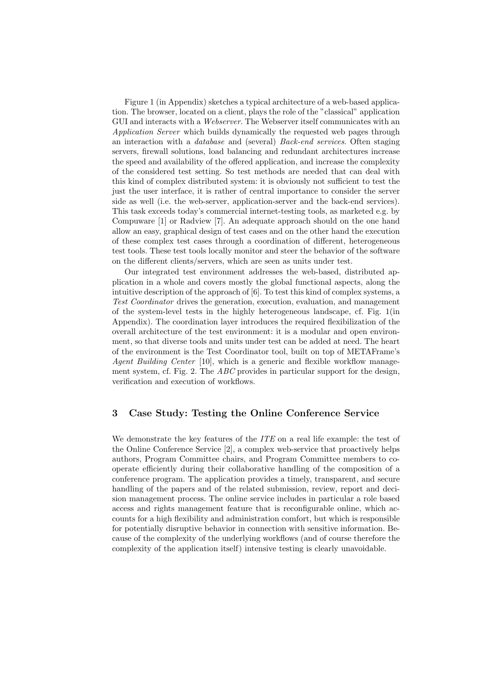Figure 1 (in Appendix) sketches a typical architecture of a web-based application. The browser, located on a client, plays the role of the "classical" application GUI and interacts with a *Webserver*. The Webserver itself communicates with an *Application Server* which builds dynamically the requested web pages through an interaction with a *database* and (several) *Back-end services*. Often staging servers, firewall solutions, load balancing and redundant architectures increase the speed and availability of the offered application, and increase the complexity of the considered test setting. So test methods are needed that can deal with this kind of complex distributed system: it is obviously not sufficient to test the just the user interface, it is rather of central importance to consider the server side as well (i.e. the web-server, application-server and the back-end services). This task exceeds today's commercial internet-testing tools, as marketed e.g. by Compuware [1] or Radview [7]. An adequate approach should on the one hand allow an easy, graphical design of test cases and on the other hand the execution of these complex test cases through a coordination of different, heterogeneous test tools. These test tools locally monitor and steer the behavior of the software on the different clients/servers, which are seen as units under test.

Our integrated test environment addresses the web-based, distributed application in a whole and covers mostly the global functional aspects, along the intuitive description of the approach of [6]. To test this kind of complex systems, a *Test Coordinator* drives the generation, execution, evaluation, and management of the system-level tests in the highly heterogeneous landscape, cf. Fig. 1(in Appendix). The coordination layer introduces the required flexibilization of the overall architecture of the test environment: it is a modular and open environment, so that diverse tools and units under test can be added at need. The heart of the environment is the Test Coordinator tool, built on top of METAFrame's *Agent Building Center* [10], which is a generic and flexible workflow management system, cf. Fig. 2. The *ABC* provides in particular support for the design, verification and execution of workflows.

## **3 Case Study: Testing the Online Conference Service**

We demonstrate the key features of the *ITE* on a real life example: the test of the Online Conference Service [2], a complex web-service that proactively helps authors, Program Committee chairs, and Program Committee members to cooperate efficiently during their collaborative handling of the composition of a conference program. The application provides a timely, transparent, and secure handling of the papers and of the related submission, review, report and decision management process. The online service includes in particular a role based access and rights management feature that is reconfigurable online, which accounts for a high flexibility and administration comfort, but which is responsible for potentially disruptive behavior in connection with sensitive information. Because of the complexity of the underlying workflows (and of course therefore the complexity of the application itself) intensive testing is clearly unavoidable.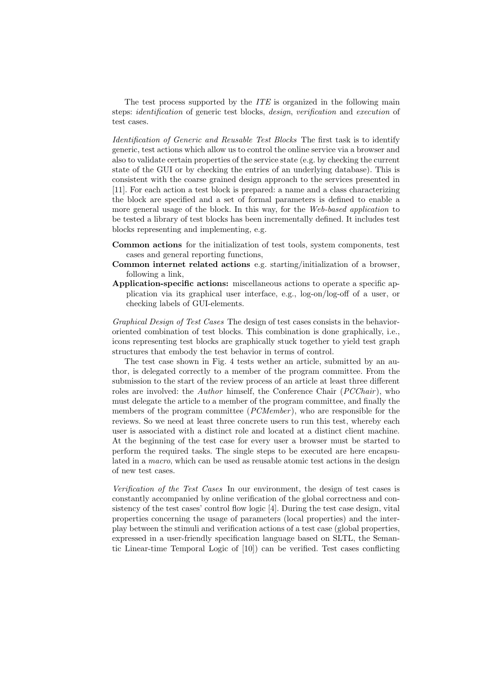The test process supported by the *ITE* is organized in the following main steps: *identification* of generic test blocks, *design*, *verification* and *execution* of test cases.

*Identification of Generic and Reusable Test Blocks* The first task is to identify generic, test actions which allow us to control the online service via a browser and also to validate certain properties of the service state (e.g. by checking the current state of the GUI or by checking the entries of an underlying database). This is consistent with the coarse grained design approach to the services presented in [11]. For each action a test block is prepared: a name and a class characterizing the block are specified and a set of formal parameters is defined to enable a more general usage of the block. In this way, for the *Web-based application* to be tested a library of test blocks has been incrementally defined. It includes test blocks representing and implementing, e.g.

- **Common actions** for the initialization of test tools, system components, test cases and general reporting functions,
- **Common internet related actions** e.g. starting/initialization of a browser, following a link,
- **Application-specific actions:** miscellaneous actions to operate a specific application via its graphical user interface, e.g., log-on/log-off of a user, or checking labels of GUI-elements.

*Graphical Design of Test Cases* The design of test cases consists in the behaviororiented combination of test blocks. This combination is done graphically, i.e., icons representing test blocks are graphically stuck together to yield test graph structures that embody the test behavior in terms of control.

The test case shown in Fig. 4 tests wether an article, submitted by an author, is delegated correctly to a member of the program committee. From the submission to the start of the review process of an article at least three different roles are involved: the *Author* himself, the Conference Chair (*PCChair* ), who must delegate the article to a member of the program committee, and finally the members of the program committee (*PCMember* ), who are responsible for the reviews. So we need at least three concrete users to run this test, whereby each user is associated with a distinct role and located at a distinct client machine. At the beginning of the test case for every user a browser must be started to perform the required tasks. The single steps to be executed are here encapsulated in a *macro*, which can be used as reusable atomic test actions in the design of new test cases.

*Verification of the Test Cases* In our environment, the design of test cases is constantly accompanied by online verification of the global correctness and consistency of the test cases' control flow logic [4]. During the test case design, vital properties concerning the usage of parameters (local properties) and the interplay between the stimuli and verification actions of a test case (global properties, expressed in a user-friendly specification language based on SLTL, the Semantic Linear-time Temporal Logic of [10]) can be verified. Test cases conflicting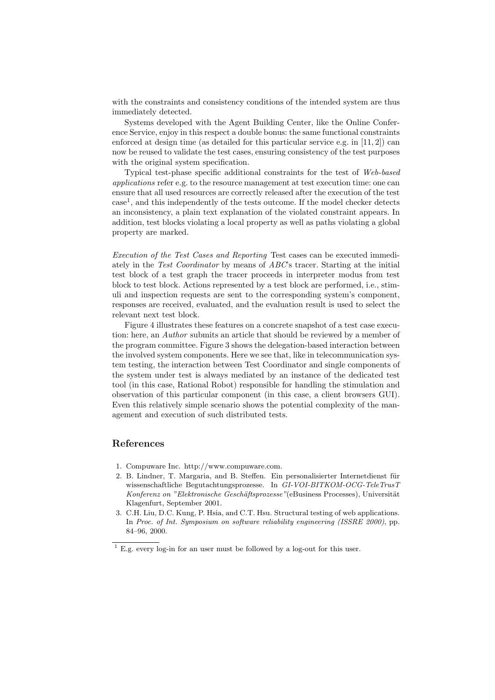with the constraints and consistency conditions of the intended system are thus immediately detected.

Systems developed with the Agent Building Center, like the Online Conference Service, enjoy in this respect a double bonus: the same functional constraints enforced at design time (as detailed for this particular service e.g. in [11, 2]) can now be reused to validate the test cases, ensuring consistency of the test purposes with the original system specification.

Typical test-phase specific additional constraints for the test of *Web-based applications* refer e.g. to the resource management at test execution time: one can ensure that all used resources are correctly released after the execution of the test case1, and this independently of the tests outcome. If the model checker detects an inconsistency, a plain text explanation of the violated constraint appears. In addition, test blocks violating a local property as well as paths violating a global property are marked.

*Execution of the Test Cases and Reporting* Test cases can be executed immediately in the *Test Coordinator* by means of *ABC*'s tracer. Starting at the initial test block of a test graph the tracer proceeds in interpreter modus from test block to test block. Actions represented by a test block are performed, i.e., stimuli and inspection requests are sent to the corresponding system's component, responses are received, evaluated, and the evaluation result is used to select the relevant next test block.

Figure 4 illustrates these features on a concrete snapshot of a test case execution: here, an *Author* submits an article that should be reviewed by a member of the program committee. Figure 3 shows the delegation-based interaction between the involved system components. Here we see that, like in telecommunication system testing, the interaction between Test Coordinator and single components of the system under test is always mediated by an instance of the dedicated test tool (in this case, Rational Robot) responsible for handling the stimulation and observation of this particular component (in this case, a client browsers GUI). Even this relatively simple scenario shows the potential complexity of the management and execution of such distributed tests.

### **References**

- 1. Compuware Inc. http://www.compuware.com.
- 2. B. Lindner, T. Margaria, and B. Steffen. Ein personalisierter Internetdienst für wissenschaftliche Begutachtungsprozesse. In *GI-VOI-BITKOM-OCG-TeleTrusT Konferenz on "Elektronische Geschäftsprozesse"*(eBusiness Processes), Universität Klagenfurt, September 2001.
- 3. C.H. Liu, D.C. Kung, P. Hsia, and C.T. Hsu. Structural testing of web applications. In *Proc. of Int. Symposium on software reliability engineering (ISSRE 2000)*, pp. 84–96, 2000.

 $1 \text{ E.g.}$  every log-in for an user must be followed by a log-out for this user.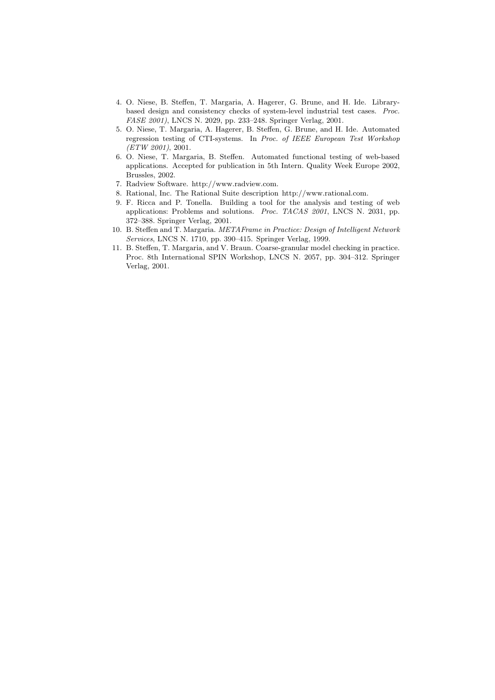- 4. O. Niese, B. Steffen, T. Margaria, A. Hagerer, G. Brune, and H. Ide. Librarybased design and consistency checks of system-level industrial test cases. *Proc. FASE 2001)*, LNCS N. 2029, pp. 233–248. Springer Verlag, 2001.
- 5. O. Niese, T. Margaria, A. Hagerer, B. Steffen, G. Brune, and H. Ide. Automated regression testing of CTI-systems. In *Proc. of IEEE European Test Workshop (ETW 2001)*, 2001.
- 6. O. Niese, T. Margaria, B. Steffen. Automated functional testing of web-based applications. Accepted for publication in 5th Intern. Quality Week Europe 2002, Brussles, 2002.
- 7. Radview Software. http://www.radview.com.
- 8. Rational, Inc. The Rational Suite description http://www.rational.com.
- 9. F. Ricca and P. Tonella. Building a tool for the analysis and testing of web applications: Problems and solutions. *Proc. TACAS 2001*, LNCS N. 2031, pp. 372–388. Springer Verlag, 2001.
- 10. B. Steffen and T. Margaria. *METAFrame in Practice: Design of Intelligent Network Services*, LNCS N. 1710, pp. 390–415. Springer Verlag, 1999.
- 11. B. Steffen, T. Margaria, and V. Braun. Coarse-granular model checking in practice. Proc. 8th International SPIN Workshop, LNCS N. 2057, pp. 304–312. Springer Verlag, 2001.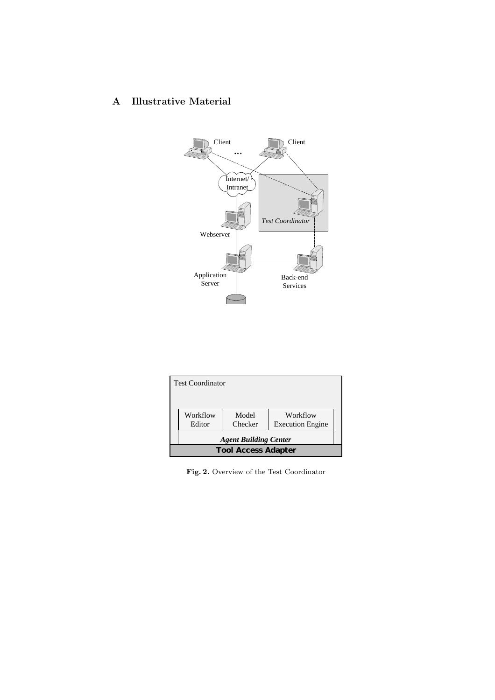## **A Illustrative Material**



| <b>Test Coordinator</b>    |                              |                  |                                     |  |
|----------------------------|------------------------------|------------------|-------------------------------------|--|
|                            | Workflow<br>Editor           | Model<br>Checker | Workflow<br><b>Execution Engine</b> |  |
|                            | <b>Agent Building Center</b> |                  |                                     |  |
| <b>Tool Access Adapter</b> |                              |                  |                                     |  |

**Fig. 2.** Overview of the Test Coordinator